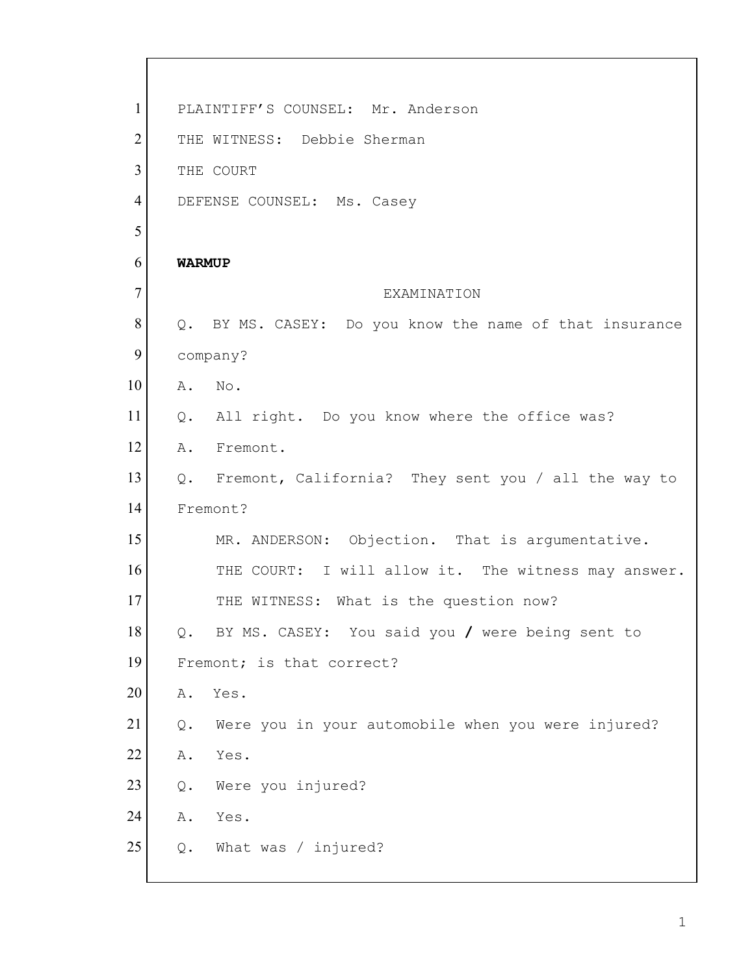| $\mathbf{1}$   | PLAINTIFF'S COUNSEL: Mr. Anderson                        |
|----------------|----------------------------------------------------------|
| $\overline{2}$ | THE WITNESS: Debbie Sherman                              |
| 3              | THE COURT                                                |
| $\overline{4}$ | DEFENSE COUNSEL: Ms. Casey                               |
| 5              |                                                          |
| 6              | <b>WARMUP</b>                                            |
| $\overline{7}$ | EXAMINATION                                              |
| 8              | Q. BY MS. CASEY: Do you know the name of that insurance  |
| 9              | company?                                                 |
| 10             | No.<br>Α.                                                |
| 11             | All right. Do you know where the office was?<br>Q.       |
| 12             | Fremont.<br>Α.                                           |
| 13             | Q. Fremont, California? They sent you / all the way to   |
| 14             | Fremont?                                                 |
| 15             | MR. ANDERSON: Objection. That is argumentative.          |
| 16             | THE COURT: I will allow it. The witness may answer.      |
| 17             | THE WITNESS: What is the question now?                   |
| 18             | BY MS. CASEY: You said you / were being sent to<br>Q.    |
| 19             | Fremont; is that correct?                                |
| 20             | Yes.<br>Α.                                               |
| 21             | Were you in your automobile when you were injured?<br>Q. |
| 22             | Yes.<br>Α.                                               |
| 23             | Were you injured?<br>Q.                                  |
| 24             | Yes.<br>Α.                                               |
| 25             | What was / injured?<br>Q.                                |
|                |                                                          |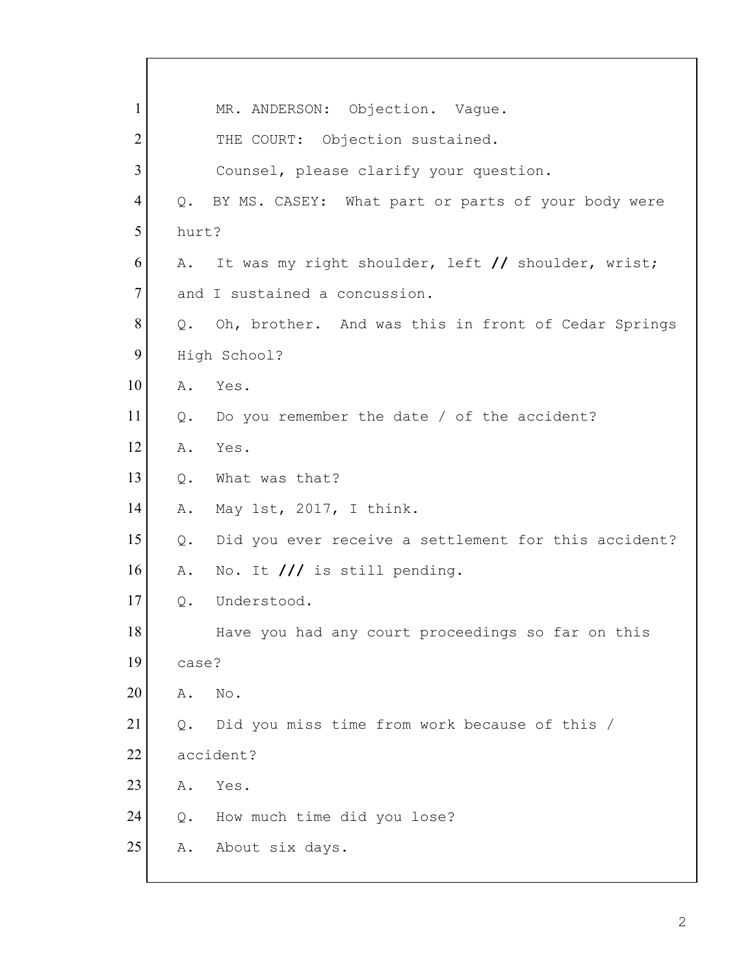| $\mathbf{1}$   |       | MR. ANDERSON: Objection. Vague.                        |
|----------------|-------|--------------------------------------------------------|
| $\overline{2}$ |       | THE COURT: Objection sustained.                        |
| 3              |       | Counsel, please clarify your question.                 |
| 4              | $Q$ . | BY MS. CASEY: What part or parts of your body were     |
| 5              | hurt? |                                                        |
| 6              | Α.    | It was my right shoulder, left // shoulder, wrist;     |
| $\tau$         |       | and I sustained a concussion.                          |
| 8              |       | Q. Oh, brother. And was this in front of Cedar Springs |
| 9              |       | High School?                                           |
| 10             |       | A. Yes.                                                |
| 11             |       | Q. Do you remember the date / of the accident?         |
| 12             | Α.    | Yes.                                                   |
| 13             | $Q$ . | What was that?                                         |
| 14             | Α.    | May 1st, 2017, I think.                                |
| 15             | Q.    | Did you ever receive a settlement for this accident?   |
| 16             | Α.    | No. It /// is still pending.                           |
| 17             | Q.    | Understood.                                            |
| 18             |       | Have you had any court proceedings so far on this      |
| 19             | case? |                                                        |
| 20             | Α.    | No.                                                    |
| 21             | Q.    | Did you miss time from work because of this /          |
| 22             |       | accident?                                              |
| 23             | Α.    | Yes.                                                   |
| 24             | Q.    | How much time did you lose?                            |
| 25             | Α.    | About six days.                                        |
|                |       |                                                        |

Г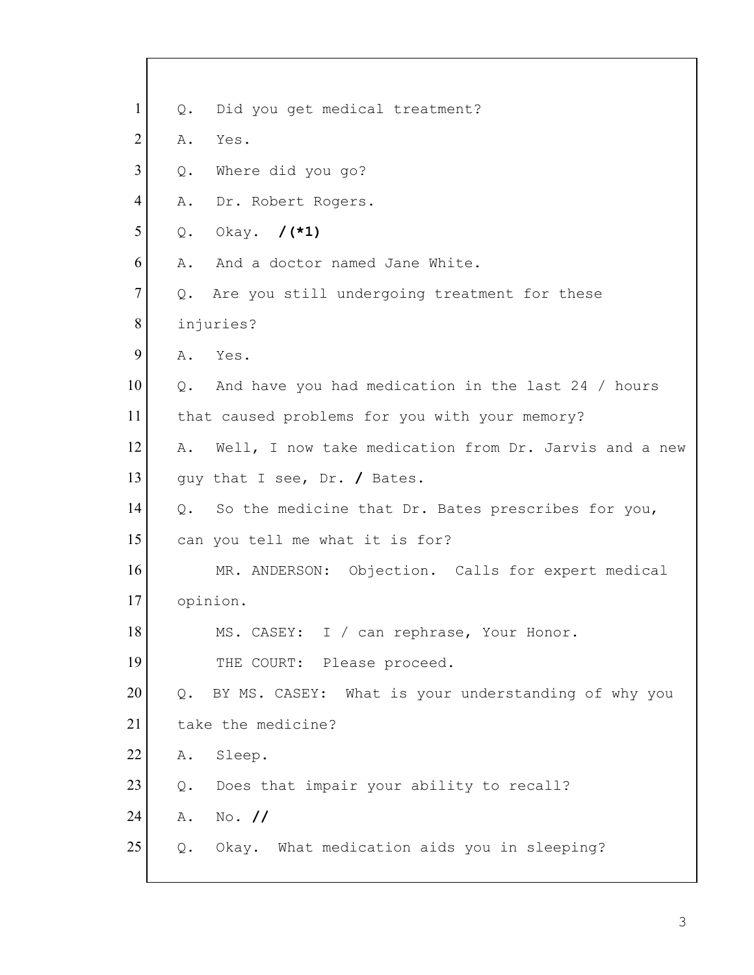| $\mathbf{1}$   | Q.            | Did you get medical treatment?                        |
|----------------|---------------|-------------------------------------------------------|
| $\overline{2}$ | Α.            | Yes.                                                  |
| 3              | Q.            | Where did you go?                                     |
| 4              | Α.            | Dr. Robert Rogers.                                    |
| 5              | Q.            | Okay. /(*1)                                           |
| 6              | Α.            | And a doctor named Jane White.                        |
| $\tau$         | Q.            | Are you still undergoing treatment for these          |
| 8              |               | injuries?                                             |
| 9              | Α.            | Yes.                                                  |
| 10             | Q.            | And have you had medication in the last 24 / hours    |
| 11             |               | that caused problems for you with your memory?        |
| 12             | Α.            | Well, I now take medication from Dr. Jarvis and a new |
| 13             |               | guy that I see, Dr. / Bates.                          |
| 14             | $Q_{\bullet}$ | So the medicine that Dr. Bates prescribes for you,    |
| 15             |               | can you tell me what it is for?                       |
| 16             |               | MR. ANDERSON: Objection. Calls for expert medical     |
| 17             |               | opinion.                                              |
| 18             |               | MS. CASEY: I / can rephrase, Your Honor.              |
| 19             |               | THE COURT: Please proceed.                            |
| 20             | Q.            | BY MS. CASEY: What is your understanding of why you   |
| 21             |               | take the medicine?                                    |
| 22             | Α.            | Sleep.                                                |
| 23             | Q.            | Does that impair your ability to recall?              |
| 24             | Α.            | $No.$ //                                              |
| 25             | Q.            | Okay. What medication aids you in sleeping?           |
|                |               |                                                       |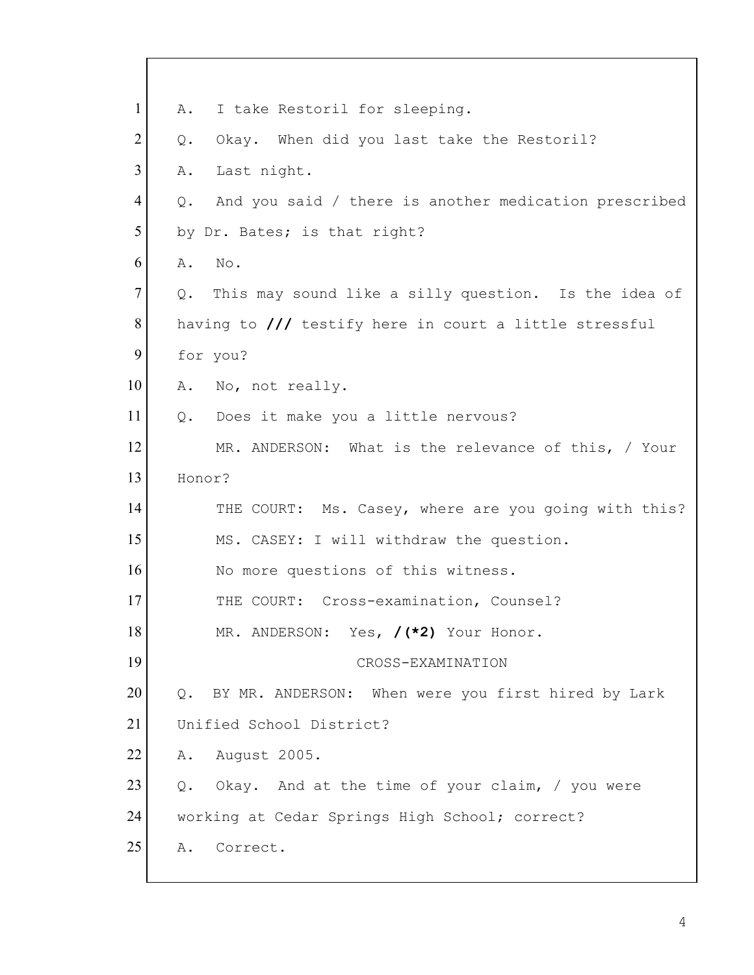| $\mathbf{1}$   | I take Restoril for sleeping.<br>Α.                                     |  |
|----------------|-------------------------------------------------------------------------|--|
| $\overline{2}$ | Okay. When did you last take the Restoril?<br>Q.                        |  |
| 3              | Last night.<br>Α.                                                       |  |
| 4              | And you said / there is another medication prescribed<br>Q.             |  |
| 5              | by Dr. Bates; is that right?                                            |  |
| 6              | No.<br>Α.                                                               |  |
| $\overline{7}$ | Q. This may sound like a silly question. Is the idea of                 |  |
| 8              | having to $\frac{1}{\sqrt{2}}$ testify here in court a little stressful |  |
| 9              | for you?                                                                |  |
| 10             | A. No, not really.                                                      |  |
| 11             | Q. Does it make you a little nervous?                                   |  |
| 12             | MR. ANDERSON: What is the relevance of this, / Your                     |  |
| 13             | Honor?                                                                  |  |
| 14             | THE COURT: Ms. Casey, where are you going with this?                    |  |
| 15             | MS. CASEY: I will withdraw the question.                                |  |
| 16             | No more questions of this witness.                                      |  |
| 17             | THE COURT: Cross-examination, Counsel?                                  |  |
| 18             | MR. ANDERSON: Yes, /(*2) Your Honor.                                    |  |
| 19             | CROSS-EXAMINATION                                                       |  |
| 20             | BY MR. ANDERSON: When were you first hired by Lark<br>Q.                |  |
| 21             | Unified School District?                                                |  |
| 22             | August 2005.<br>Α.                                                      |  |
| 23             | Okay. And at the time of your claim, / you were<br>Q.                   |  |
| 24             | working at Cedar Springs High School; correct?                          |  |
| 25             | Correct.<br>Α.                                                          |  |
|                |                                                                         |  |

Г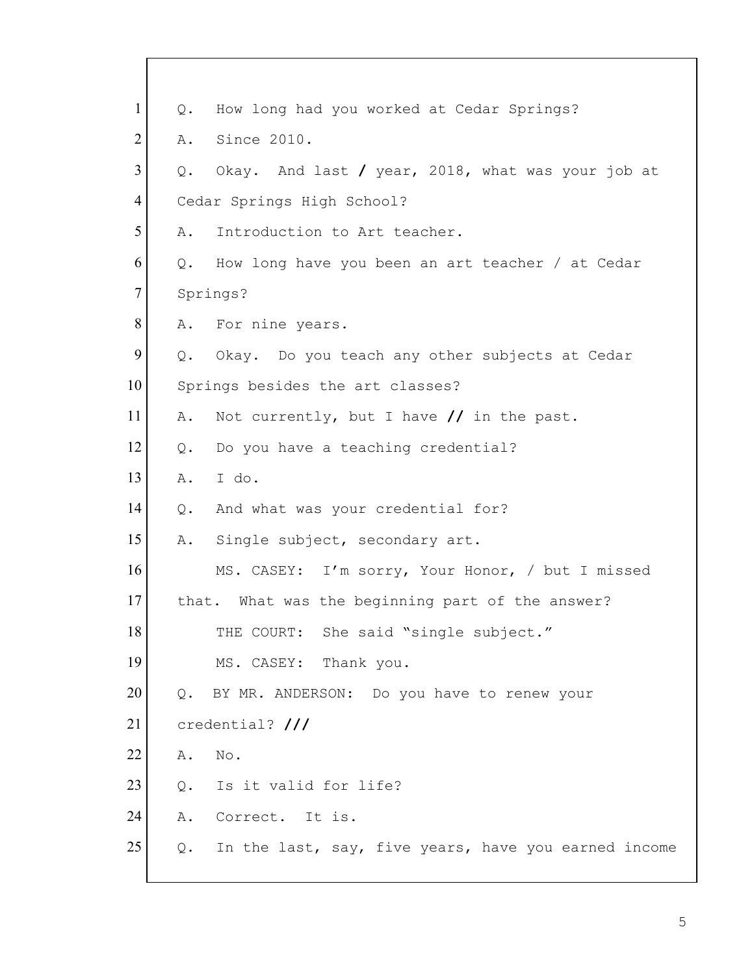| $\mathbf{1}$   | Q.    | How long had you worked at Cedar Springs?               |
|----------------|-------|---------------------------------------------------------|
| $\overline{2}$ | Α.    | Since 2010.                                             |
| 3              | Q.    | Okay. And last / year, 2018, what was your job at       |
| $\overline{4}$ |       | Cedar Springs High School?                              |
| 5              | Α.    | Introduction to Art teacher.                            |
| 6              | Q.    | How long have you been an art teacher / at Cedar        |
| $\tau$         |       | Springs?                                                |
| 8              | A.    | For nine years.                                         |
| 9              |       | Q. Okay. Do you teach any other subjects at Cedar       |
| 10             |       | Springs besides the art classes?                        |
| 11             | Α.    | Not currently, but I have $//$ in the past.             |
| 12             | Q.    | Do you have a teaching credential?                      |
| 13             | Α.    | I do.                                                   |
| 14             | Q.    | And what was your credential for?                       |
| 15             | Α.    | Single subject, secondary art.                          |
| 16             |       | MS. CASEY: I'm sorry, Your Honor, / but I missed        |
| 17             |       | that. What was the beginning part of the answer?        |
| 18             |       | THE COURT: She said "single subject."                   |
| 19             |       | MS. CASEY: Thank you.                                   |
| 20             | Q.    | BY MR. ANDERSON: Do you have to renew your              |
| 21             |       | credential? ///                                         |
| 22             | Α.    | No.                                                     |
| 23             | $Q$ . | Is it valid for life?                                   |
| 24             | Α.    | Correct. It is.                                         |
| 25             |       | Q. In the last, say, five years, have you earned income |
|                |       |                                                         |

 $\mathbf{I}$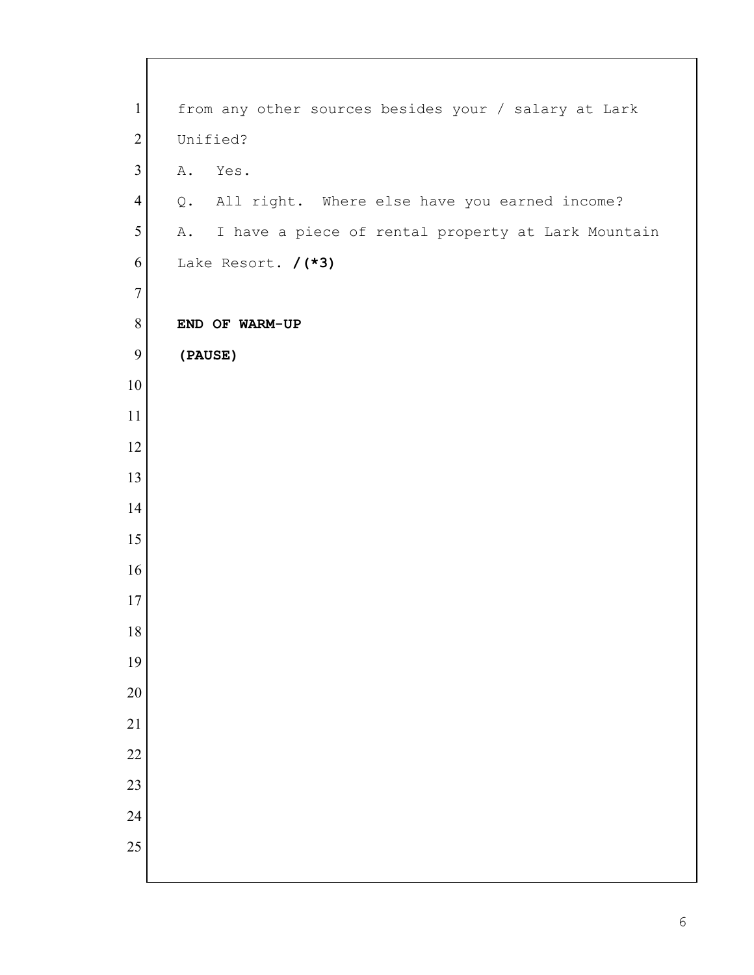| $\mathbf{1}$     | from any other sources besides your / salary at Lark     |
|------------------|----------------------------------------------------------|
| $\overline{2}$   | Unified?                                                 |
| 3                | A.<br>Yes.                                               |
| $\overline{4}$   | Q. All right. Where else have you earned income?         |
| 5                | I have a piece of rental property at Lark Mountain<br>A. |
| 6                | Lake Resort. / (*3)                                      |
| $\overline{7}$   |                                                          |
| $8\,$            | END OF WARM-UP                                           |
| $\boldsymbol{9}$ | (PAUSE)                                                  |
| 10               |                                                          |
| 11               |                                                          |
| 12               |                                                          |
| 13               |                                                          |
| 14               |                                                          |
| 15               |                                                          |
| 16               |                                                          |
| 17               |                                                          |
| $18\,$           |                                                          |
| 19               |                                                          |
| 20               |                                                          |
| 21               |                                                          |
| 22               |                                                          |
| 23               |                                                          |
| 24               |                                                          |
| 25               |                                                          |
|                  |                                                          |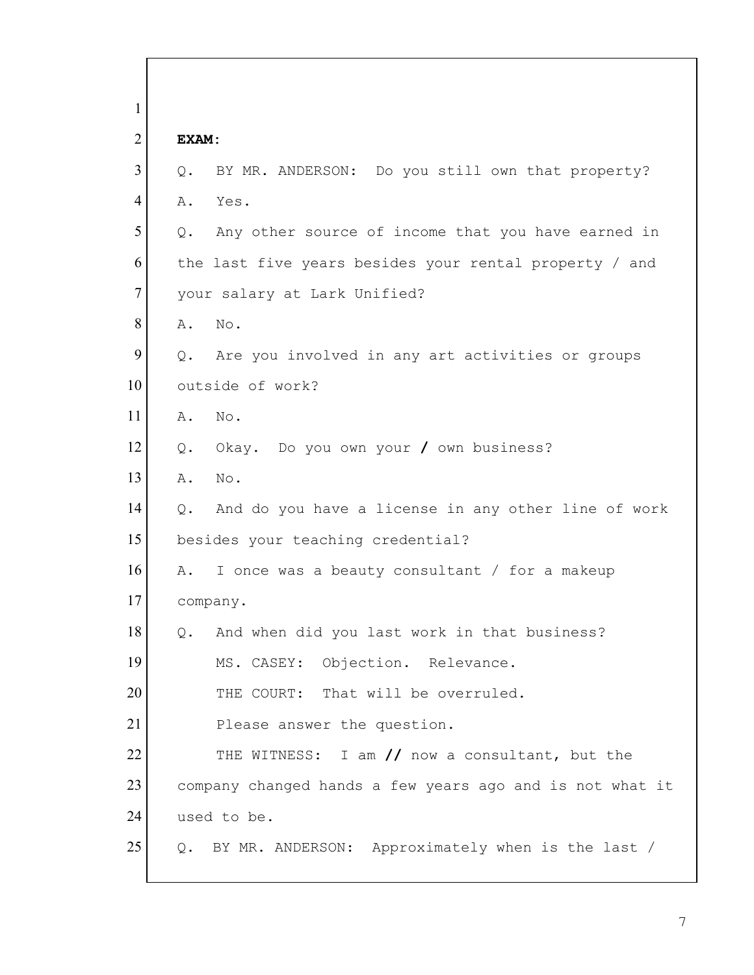| 1              |                                                           |  |
|----------------|-----------------------------------------------------------|--|
| $\overline{2}$ | EXAM:                                                     |  |
| 3              | Q.<br>BY MR. ANDERSON: Do you still own that property?    |  |
| 4              | Α.<br>Yes.                                                |  |
| 5              | Any other source of income that you have earned in<br>Q.  |  |
| 6              | the last five years besides your rental property / and    |  |
| $\overline{7}$ | your salary at Lark Unified?                              |  |
| 8              | No.<br>Α.                                                 |  |
| 9              | Are you involved in any art activities or groups<br>$Q$ . |  |
| 10             | outside of work?                                          |  |
| 11             | Α.<br>No.                                                 |  |
| 12             | Okay. Do you own your / own business?<br>Q.               |  |
| 13             | Α.<br>No.                                                 |  |
| 14             | And do you have a license in any other line of work<br>Q. |  |
| 15             | besides your teaching credential?                         |  |
| 16             | I once was a beauty consultant / for a makeup<br>Α.       |  |
| 17             | company.                                                  |  |
| 18             | And when did you last work in that business?              |  |
| 19             | MS. CASEY: Objection. Relevance.                          |  |
| 20             | THE COURT: That will be overruled.                        |  |
| 21             | Please answer the question.                               |  |
| 22             | THE WITNESS: I am // now a consultant, but the            |  |
| 23             | company changed hands a few years ago and is not what it  |  |
| 24             | used to be.                                               |  |
| 25             | BY MR. ANDERSON: Approximately when is the last /<br>Q.   |  |
|                |                                                           |  |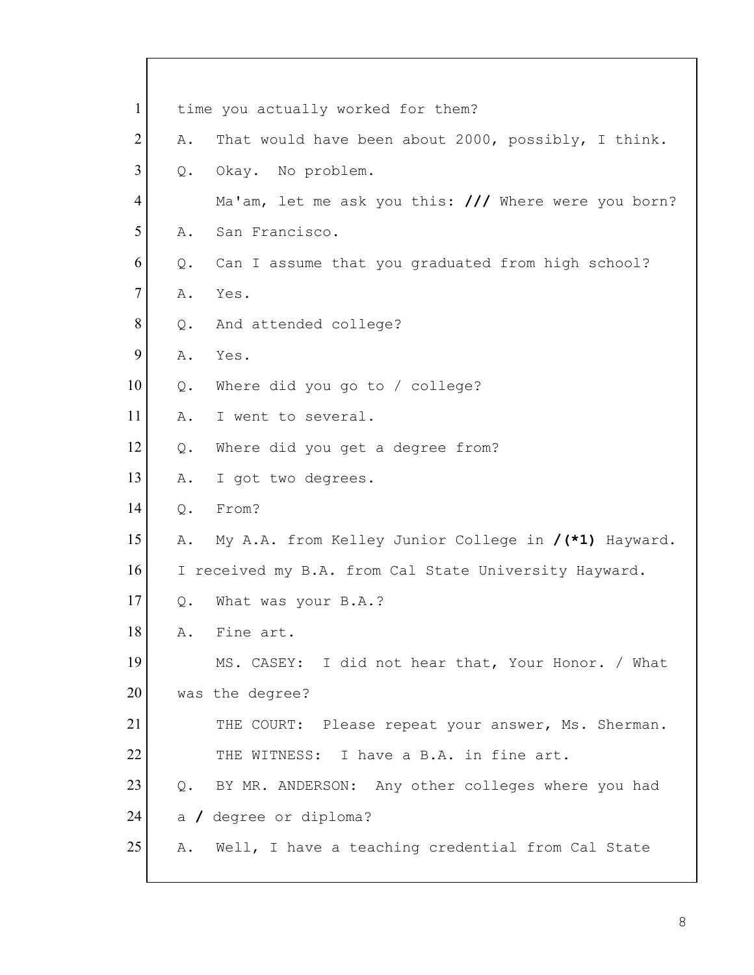|       | time you actually worked for them?                    |
|-------|-------------------------------------------------------|
| Α.    | That would have been about 2000, possibly, I think.   |
| Q.    | Okay. No problem.                                     |
|       | Ma'am, let me ask you this: /// Where were you born?  |
| Α.    | San Francisco.                                        |
| Q.    | Can I assume that you graduated from high school?     |
| Α.    | Yes.                                                  |
| Q.    | And attended college?                                 |
| Α.    | Yes.                                                  |
| $Q$ . | Where did you go to / college?                        |
| Α.    | I went to several.                                    |
| Q.    | Where did you get a degree from?                      |
| Α.    | I got two degrees.                                    |
| Q.    | From?                                                 |
| Α.    | My A.A. from Kelley Junior College in /(*1) Hayward.  |
|       | I received my B.A. from Cal State University Hayward. |
| Q.    | What was your B.A.?                                   |
| Α.    | Fine art.                                             |
|       | MS. CASEY: I did not hear that, Your Honor. / What    |
|       | was the degree?                                       |
|       | THE COURT: Please repeat your answer, Ms. Sherman.    |
|       | THE WITNESS: I have a B.A. in fine art.               |
| $Q$ . | BY MR. ANDERSON: Any other colleges where you had     |
|       | a / degree or diploma?                                |
| Α.    | Well, I have a teaching credential from Cal State     |
|       |                                                       |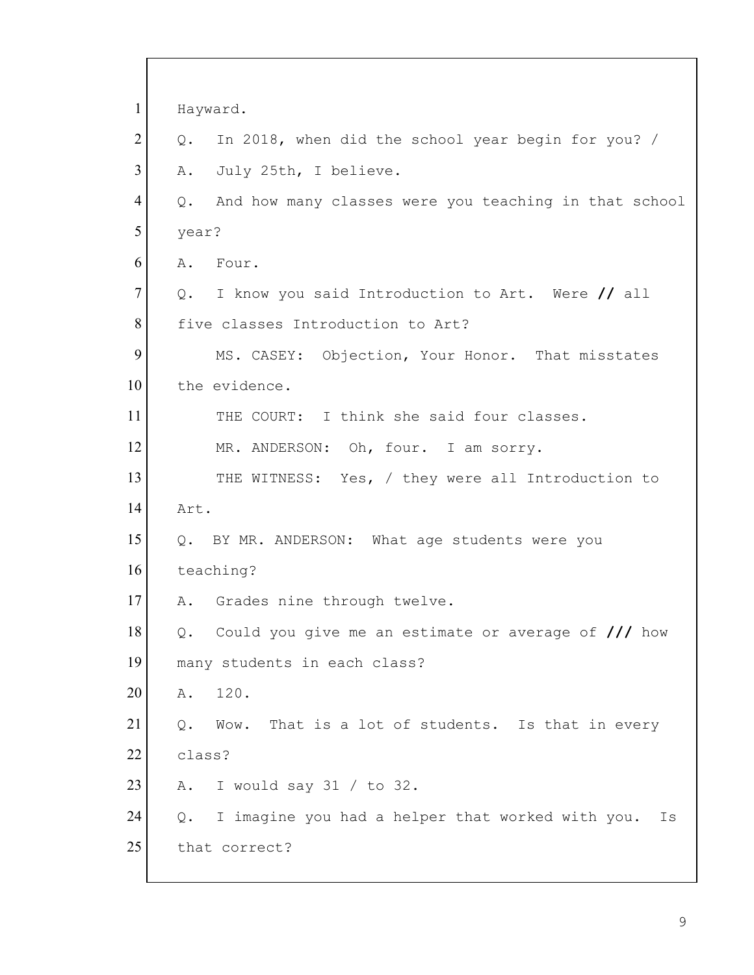| $\mathbf{1}$   | Hayward.                                                     |
|----------------|--------------------------------------------------------------|
| $\overline{2}$ | In 2018, when did the school year begin for you? /<br>Q.     |
| 3              | July 25th, I believe.<br>Α.                                  |
| 4              | And how many classes were you teaching in that school<br>Q.  |
| 5              | year?                                                        |
| 6              | A. Four.                                                     |
| $\tau$         | I know you said Introduction to Art. Were // all<br>Q.       |
| 8              | five classes Introduction to Art?                            |
| 9              | MS. CASEY: Objection, Your Honor. That misstates             |
| 10             | the evidence.                                                |
| 11             | THE COURT: I think she said four classes.                    |
| 12             | MR. ANDERSON: Oh, four. I am sorry.                          |
| 13             | THE WITNESS: Yes, / they were all Introduction to            |
| 14             | Art.                                                         |
| 15             | Q. BY MR. ANDERSON: What age students were you               |
| 16             | teaching?                                                    |
| 17             | A. Grades nine through twelve.                               |
| 18             | Could you give me an estimate or average of /// how<br>Q.    |
| 19             | many students in each class?                                 |
| 20             | 120.<br>Α.                                                   |
| 21             | That is a lot of students. Is that in every<br>Q.<br>Wow.    |
| 22             | class?                                                       |
| 23             | I would say $31 / to 32$ .<br>Α.                             |
| 24             | I imagine you had a helper that worked with you.<br>Q.<br>Is |
| 25             | that correct?                                                |
|                |                                                              |

Г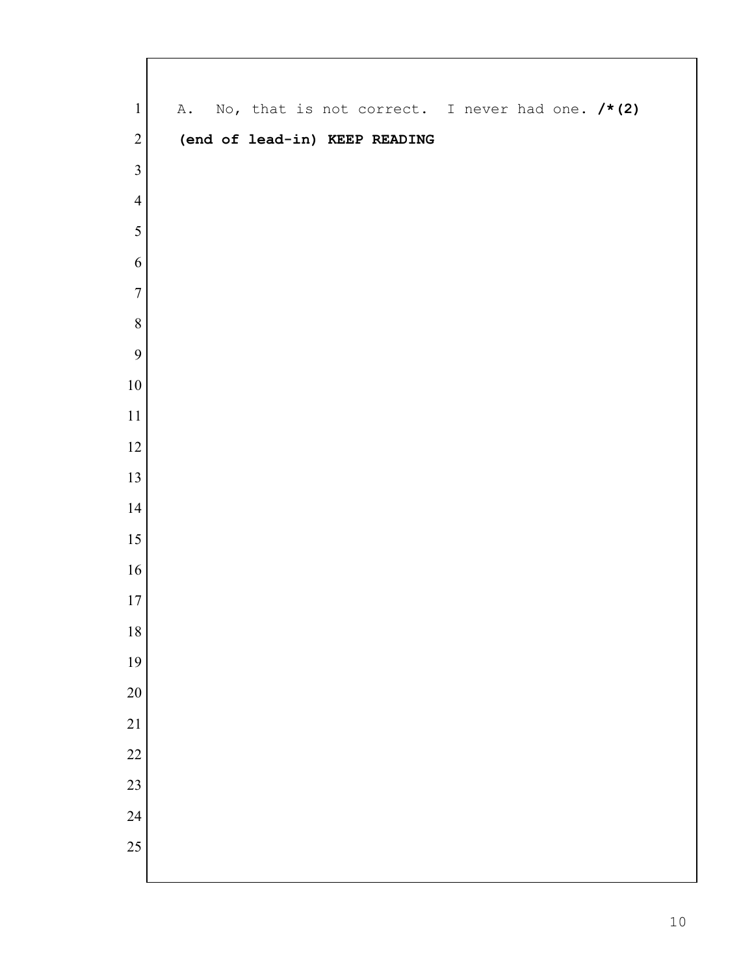| $\mathbf{1}$    |  |  |  | A. No, that is not correct. I never had one. /*(2) |  |  |  |
|-----------------|--|--|--|----------------------------------------------------|--|--|--|
| $\sqrt{2}$      |  |  |  | (end of lead-in) KEEP READING                      |  |  |  |
| $\overline{3}$  |  |  |  |                                                    |  |  |  |
| $\overline{4}$  |  |  |  |                                                    |  |  |  |
| 5               |  |  |  |                                                    |  |  |  |
| 6               |  |  |  |                                                    |  |  |  |
| $\overline{7}$  |  |  |  |                                                    |  |  |  |
| $\, 8$          |  |  |  |                                                    |  |  |  |
| 9               |  |  |  |                                                    |  |  |  |
| $10\,$          |  |  |  |                                                    |  |  |  |
| $11\,$          |  |  |  |                                                    |  |  |  |
| $12\,$          |  |  |  |                                                    |  |  |  |
| 13              |  |  |  |                                                    |  |  |  |
| 14              |  |  |  |                                                    |  |  |  |
| $15\,$          |  |  |  |                                                    |  |  |  |
| $16\,$          |  |  |  |                                                    |  |  |  |
| $17\,$          |  |  |  |                                                    |  |  |  |
| 18              |  |  |  |                                                    |  |  |  |
| 19              |  |  |  |                                                    |  |  |  |
| 20              |  |  |  |                                                    |  |  |  |
| $\overline{21}$ |  |  |  |                                                    |  |  |  |
| 22              |  |  |  |                                                    |  |  |  |
| 23              |  |  |  |                                                    |  |  |  |
| 24              |  |  |  |                                                    |  |  |  |
| 25              |  |  |  |                                                    |  |  |  |
|                 |  |  |  |                                                    |  |  |  |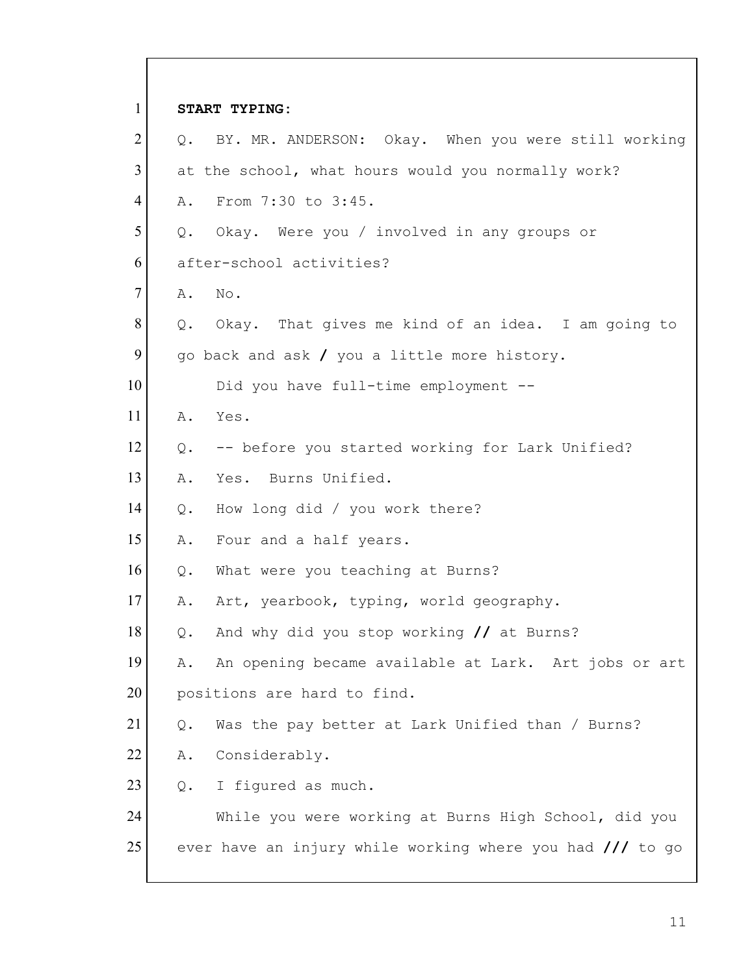1 **START TYPING:** 2 Q. BY. MR. ANDERSON: Okay. When you were still working 3 at the school, what hours would you normally work? 4 A. From 7:30 to 3:45. 5 Q. Okay. Were you / involved in any groups or 6 after-school activities? 7 A. No. 8 Q. Okay. That gives me kind of an idea. I am going to 9 go back and ask / you a little more history. 10 Did you have full-time employment --11 A. Yes.  $12$  Q. -- before you started working for Lark Unified? 13 A. Yes. Burns Unified. 14 Q. How long did / you work there? 15 A. Four and a half years. 16 Q. What were you teaching at Burns? 17 A. Art, yearbook, typing, world geography. 18 Q. And why did you stop working **//** at Burns? 19 A. An opening became available at Lark. Art jobs or art 20 positions are hard to find. 21  $\boxed{Q}$ . Was the pay better at Lark Unified than / Burns? 22 A. Considerably. 23 Q. I figured as much. 24 While you were working at Burns High School, did you 25 ever have an injury while working where you had **///** to go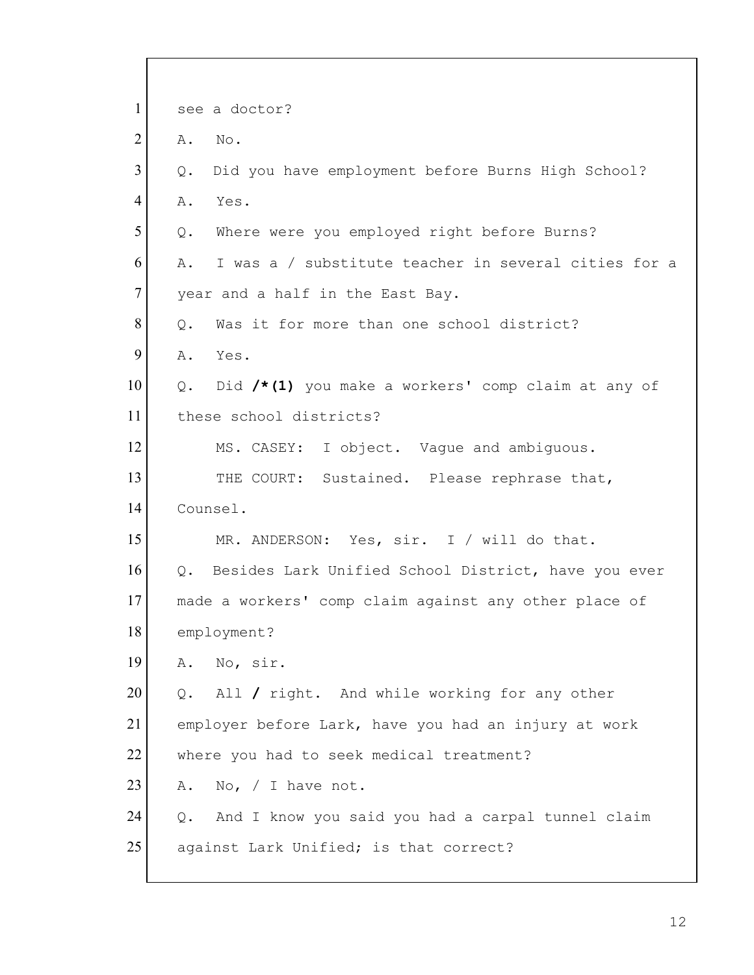| $\mathbf{1}$   |       | see a doctor?                                          |
|----------------|-------|--------------------------------------------------------|
| $\overline{2}$ | Α.    | No.                                                    |
| 3              | Q.    | Did you have employment before Burns High School?      |
| 4              | Α.    | Yes.                                                   |
| 5              | Q.    | Where were you employed right before Burns?            |
| 6              | Α.    | I was a / substitute teacher in several cities for a   |
| $\tau$         |       | year and a half in the East Bay.                       |
| 8              | $Q$ . | Was it for more than one school district?              |
| 9              | Α.    | Yes.                                                   |
| 10             | Q.    | Did /*(1) you make a workers' comp claim at any of     |
| 11             |       | these school districts?                                |
| 12             |       | MS. CASEY: I object. Vaque and ambiguous.              |
| 13             |       | THE COURT: Sustained. Please rephrase that,            |
| 14             |       | Counsel.                                               |
| 15             |       | MR. ANDERSON: Yes, sir. I / will do that.              |
| 16             |       | Q. Besides Lark Unified School District, have you ever |
| 17             |       | made a workers' comp claim against any other place of  |
| 18             |       | employment?                                            |
| 19             | Α.    | No, sir.                                               |
| 20             | Q.    | All / right. And while working for any other           |
| 21             |       | employer before Lark, have you had an injury at work   |
| 22             |       | where you had to seek medical treatment?               |
| 23             | Α.    | No, $/ I$ have not.                                    |
| 24             | Q.    | And I know you said you had a carpal tunnel claim      |
| 25             |       | against Lark Unified; is that correct?                 |
|                |       |                                                        |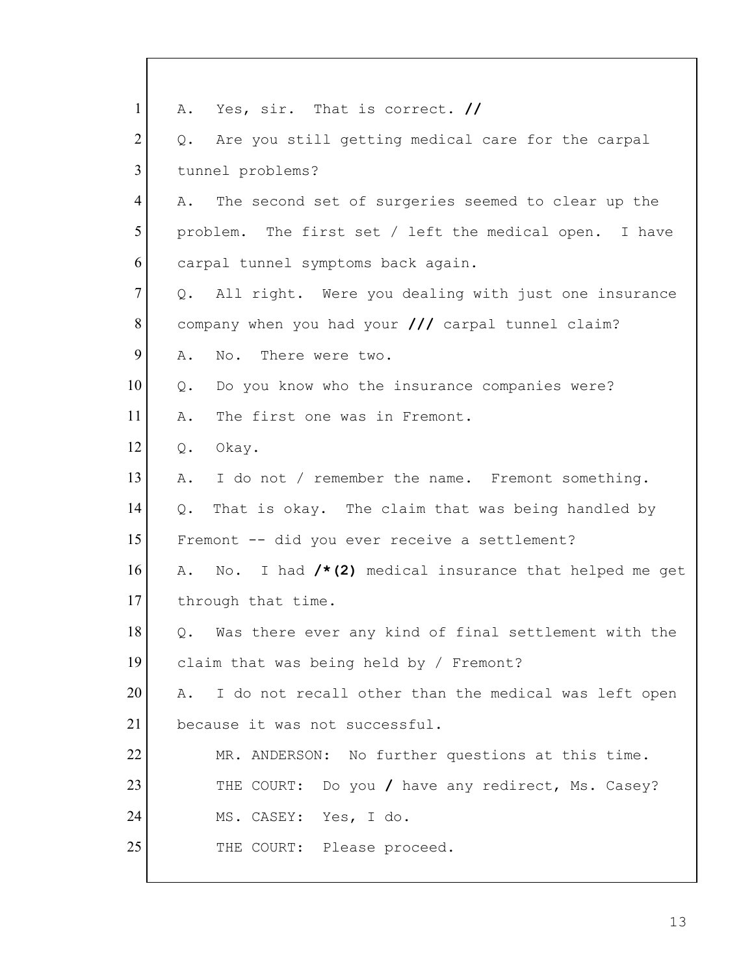| $\mathbf{1}$   | Yes, sir. That is correct. //<br>Α.                           |
|----------------|---------------------------------------------------------------|
| $\overline{2}$ | Are you still getting medical care for the carpal<br>Q.       |
| $\overline{3}$ | tunnel problems?                                              |
| $\overline{4}$ | The second set of surgeries seemed to clear up the<br>Α.      |
| 5              | problem. The first set / left the medical open. I have        |
| 6              | carpal tunnel symptoms back again.                            |
| $\tau$         | Q. All right. Were you dealing with just one insurance        |
| 8              | company when you had your /// carpal tunnel claim?            |
| 9              | Α.<br>No. There were two.                                     |
| 10             | Do you know who the insurance companies were?<br>Q.           |
| 11             | The first one was in Fremont.<br>Α.                           |
| 12             | Okay.<br>Q.                                                   |
| 13             | I do not / remember the name. Fremont something.<br>Α.        |
| 14             | That is okay. The claim that was being handled by<br>Q.       |
| 15             | Fremont -- did you ever receive a settlement?                 |
| 16             | No. I had $/*$ (2) medical insurance that helped me get<br>Α. |
| 17             | through that time.                                            |
| 18             | Q.<br>Was there ever any kind of final settlement with the    |
| 19             | claim that was being held by / Fremont?                       |
| 20             | I do not recall other than the medical was left open<br>Α.    |
| 21             | because it was not successful.                                |
| 22             | MR. ANDERSON: No further questions at this time.              |
| 23             | THE COURT: Do you / have any redirect, Ms. Casey?             |
| 24             | MS. CASEY: Yes, I do.                                         |
| 25             | THE COURT: Please proceed.                                    |
|                |                                                               |

 $\mathsf{l}$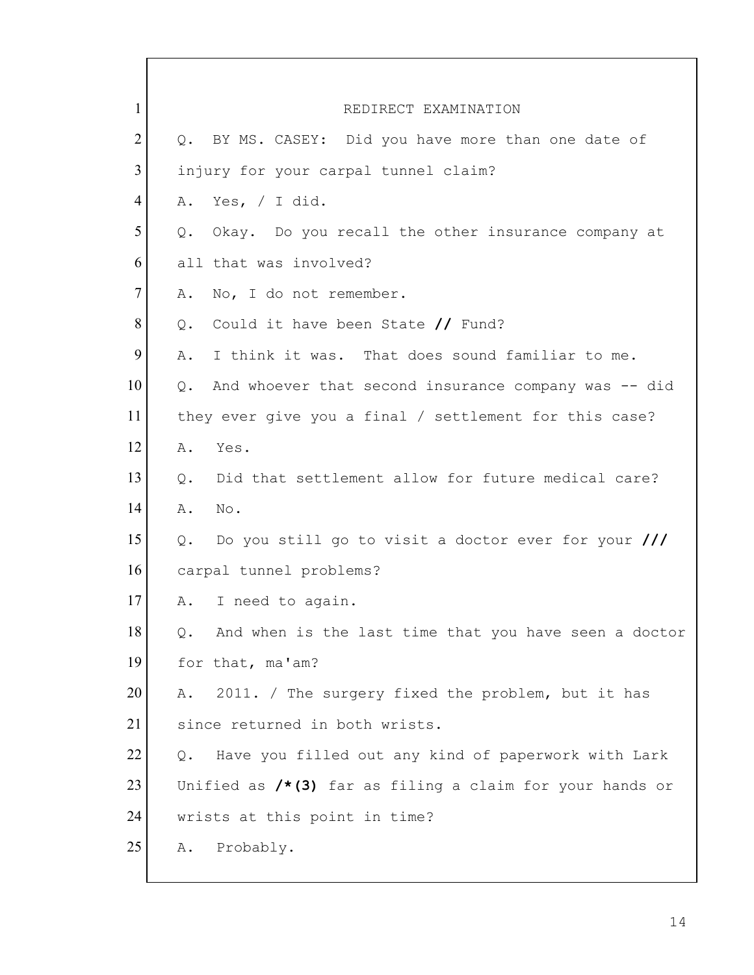1 REDIRECT EXAMINATION  $2$  Q. BY MS. CASEY: Did you have more than one date of 3 injury for your carpal tunnel claim? 4 A. Yes, / I did.  $5$  Q. Okay. Do you recall the other insurance company at 6 all that was involved? 7 A. No, I do not remember. 8 Q. Could it have been State **//** Fund? 9 A. I think it was. That does sound familiar to me.  $10$  Q. And whoever that second insurance company was  $-$  did 11 they ever give you a final / settlement for this case? 12 A. Yes. 13 | Q. Did that settlement allow for future medical care? 14 A. No. 15 Q. Do you still go to visit a doctor ever for your **///** 16 carpal tunnel problems? 17 A. I need to again.  $18$  Q. And when is the last time that you have seen a doctor 19 for that, ma'am? 20 A. 2011. / The surgery fixed the problem, but it has 21 since returned in both wrists. 22 | Q. Have you filled out any kind of paperwork with Lark 23 Unified as **/\*(3)** far as filing a claim for your hands or 24 wrists at this point in time? 25 A. Probably.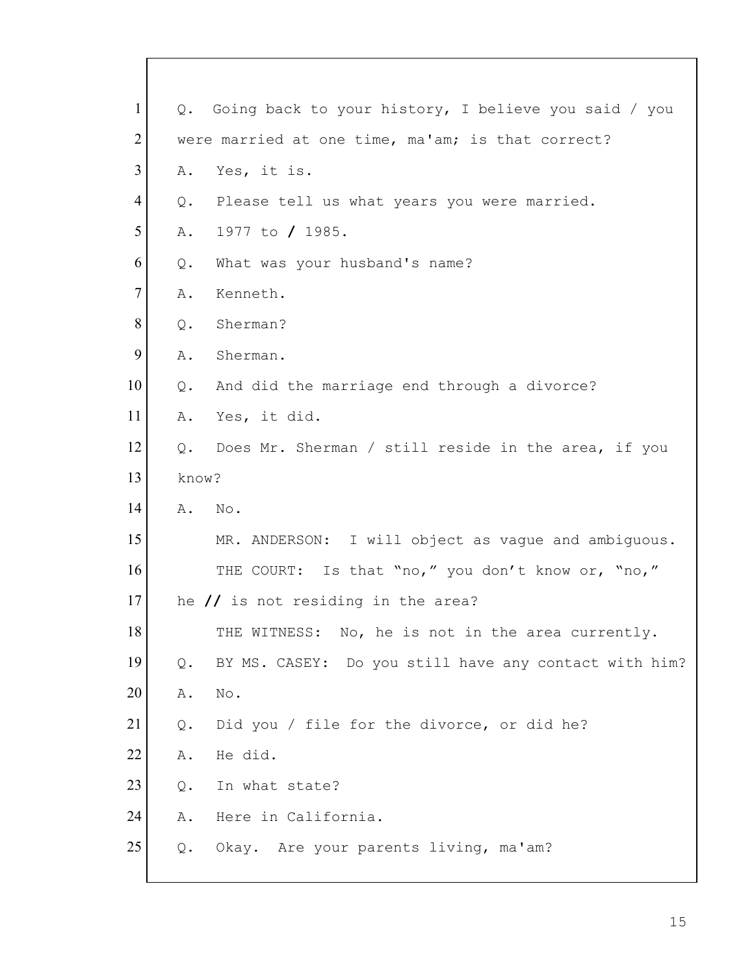| $\mathbf{1}$   | $Q$ . | Going back to your history, I believe you said / you  |
|----------------|-------|-------------------------------------------------------|
| $\overline{2}$ |       | were married at one time, ma'am; is that correct?     |
| 3              | Α.    | Yes, it is.                                           |
| 4              | Q.    | Please tell us what years you were married.           |
| 5              | Α.    | 1977 to / 1985.                                       |
| 6              | Q.    | What was your husband's name?                         |
| $\tau$         | Α.    | Kenneth.                                              |
| 8              | Q.    | Sherman?                                              |
| 9              | Α.    | Sherman.                                              |
| 10             | Q.    | And did the marriage end through a divorce?           |
| 11             | Α.    | Yes, it did.                                          |
| 12             | Q.    | Does Mr. Sherman / still reside in the area, if you   |
| 13             | know? |                                                       |
| 14             | Α.    | No.                                                   |
| 15             |       | MR. ANDERSON: I will object as vague and ambiguous.   |
| 16             |       | THE COURT: Is that "no," you don't know or, "no,"     |
| 17             |       | he $\prime\prime$ is not residing in the area?        |
| 18             |       | THE WITNESS: No, he is not in the area currently.     |
| 19             | Q.    | BY MS. CASEY: Do you still have any contact with him? |
| 20             | Α.    | No.                                                   |
| 21             | $Q$ . | Did you / file for the divorce, or did he?            |
| 22             | Α.    | He did.                                               |
| 23             | Q.    | In what state?                                        |
| 24             | Α.    | Here in California.                                   |
| 25             | Q.    | Okay. Are your parents living, ma'am?                 |
|                |       |                                                       |

 $\mathsf{l}$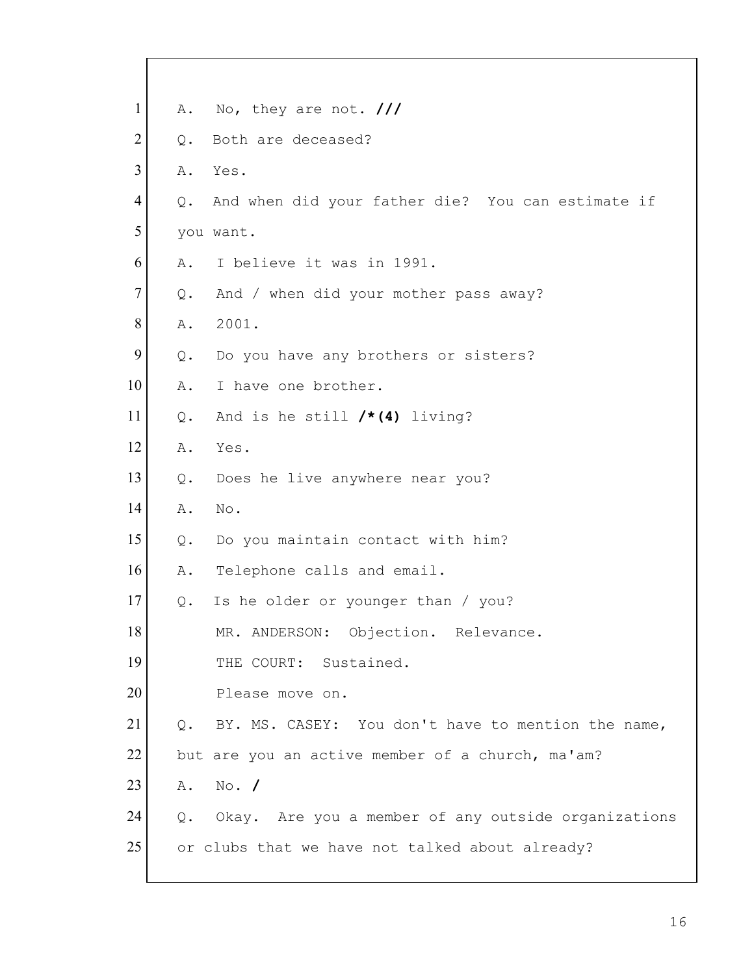| $\mathbf{1}$   | Α.            | No, they are not. $\frac{1}{1}$                     |
|----------------|---------------|-----------------------------------------------------|
| $\overline{2}$ | $Q_{\bullet}$ | Both are deceased?                                  |
| 3              | Α.            | Yes.                                                |
| 4              | Q.            | And when did your father die? You can estimate if   |
| 5              |               | you want.                                           |
| 6              | Α.            | I believe it was in 1991.                           |
| $\tau$         | Q.            | And / when did your mother pass away?               |
| 8              | Α.            | 2001.                                               |
| 9              | Q.            | Do you have any brothers or sisters?                |
| 10             | Α.            | I have one brother.                                 |
| 11             | $Q$ .         | And is he still $/*(4)$ living?                     |
| 12             | Α.            | Yes.                                                |
| 13             | Q.            | Does he live anywhere near you?                     |
| 14             | Α.            | No.                                                 |
| 15             | Q.            | Do you maintain contact with him?                   |
| 16             | Α.            | Telephone calls and email.                          |
| 17             | Q.            | Is he older or younger than / you?                  |
| 18             |               | MR. ANDERSON: Objection. Relevance.                 |
| 19             |               | THE COURT: Sustained.                               |
| 20             |               | Please move on.                                     |
| 21             | Q.            | BY. MS. CASEY: You don't have to mention the name,  |
| 22             |               | but are you an active member of a church, ma'am?    |
| 23             | Α.            | $No.$ /                                             |
| 24             | Q.            | Okay. Are you a member of any outside organizations |
| 25             |               | or clubs that we have not talked about already?     |
|                |               |                                                     |

 $\lceil$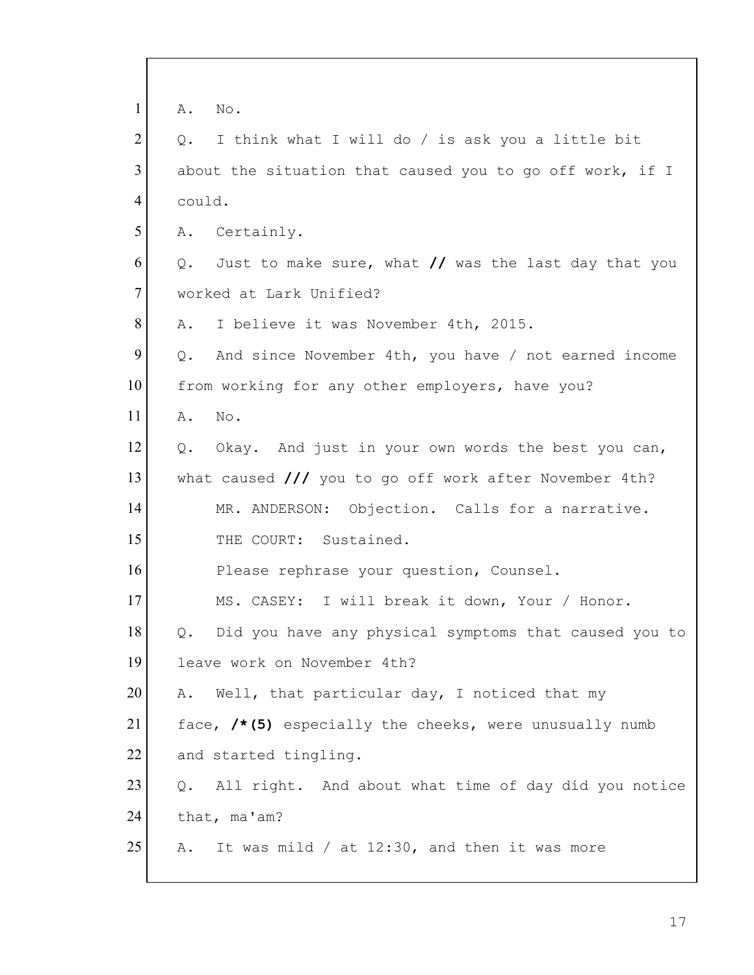| $\mathbf{1}$   | No.<br>Α.                                                        |
|----------------|------------------------------------------------------------------|
| $\overline{2}$ | I think what I will do / is ask you a little bit<br>Q.           |
| 3              | about the situation that caused you to go off work, if I         |
| 4              | could.                                                           |
| 5              | A. Certainly.                                                    |
| 6              | Just to make sure, what // was the last day that you<br>Q.       |
| $\tau$         | worked at Lark Unified?                                          |
| 8              | I believe it was November 4th, 2015.<br>Α.                       |
| 9              | And since November 4th, you have / not earned income<br>Q.       |
| 10             | from working for any other employers, have you?                  |
| 11             | No.<br>Α.                                                        |
| 12             | Q. Okay. And just in your own words the best you can,            |
| 13             | what caused $\frac{1}{1}$ you to go off work after November 4th? |
| 14             | MR. ANDERSON: Objection. Calls for a narrative.                  |
| 15             | THE COURT: Sustained.                                            |
| 16             | Please rephrase your question, Counsel.                          |
| 17             | MS. CASEY: I will break it down, Your / Honor.                   |
| 18             | Did you have any physical symptoms that caused you to            |
| 19             | leave work on November 4th?                                      |
| 20             | Well, that particular day, I noticed that my<br>Α.               |
| 21             | face, /*(5) especially the cheeks, were unusually numb           |
| 22             | and started tingling.                                            |
| 23             | All right. And about what time of day did you notice<br>Q.       |
| 24             | that, ma'am?                                                     |
| 25             | It was mild / at 12:30, and then it was more<br>Α.               |
|                |                                                                  |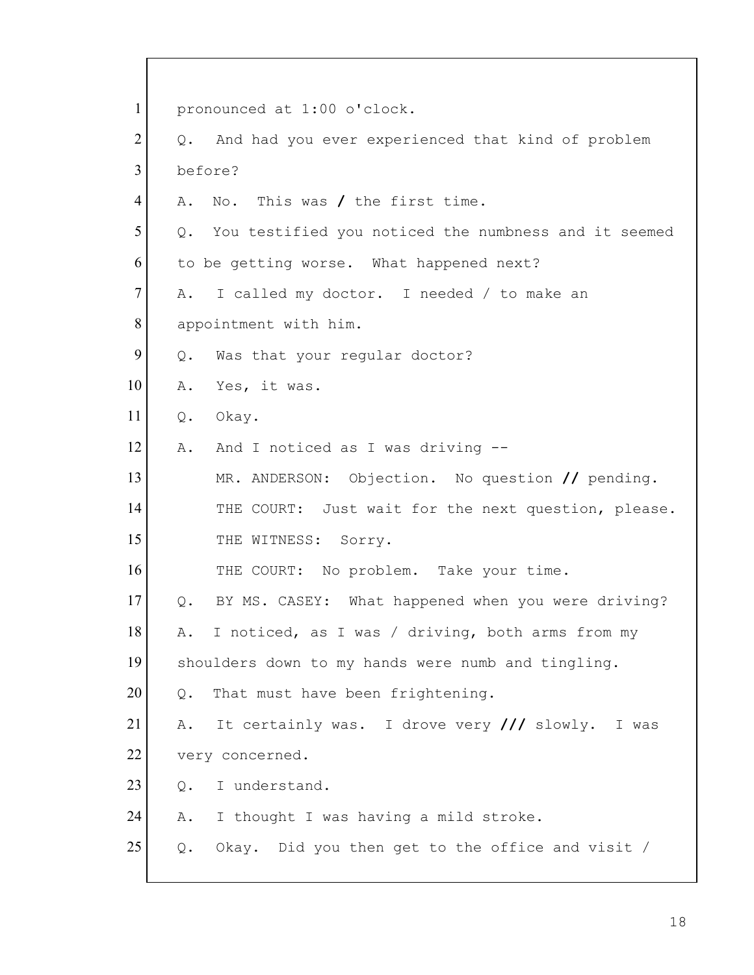1 pronounced at 1:00 o'clock.  $2$  Q. And had you ever experienced that kind of problem 3 before? 4 A. No. This was **/** the first time. 5 Q. You testified you noticed the numbness and it seemed 6 to be getting worse. What happened next? 7 A. I called my doctor. I needed / to make an 8 appointment with him.  $9$  Q. Was that your regular doctor? 10 A. Yes, it was. 11 Q. Okay. 12 A. And I noticed as I was driving --13 MR. ANDERSON: Objection. No question **//** pending. 14 THE COURT: Just wait for the next question, please. 15 THE WITNESS: Sorry. 16 THE COURT: No problem. Take your time. 17 Q. BY MS. CASEY: What happened when you were driving? 18 A. I noticed, as I was / driving, both arms from my 19 shoulders down to my hands were numb and tingling.  $20$  Q. That must have been frightening. 21 A. It certainly was. I drove very **///** slowly. I was 22 very concerned. 23 O. I understand. 24 A. I thought I was having a mild stroke.  $25$  Q. Okay. Did you then get to the office and visit /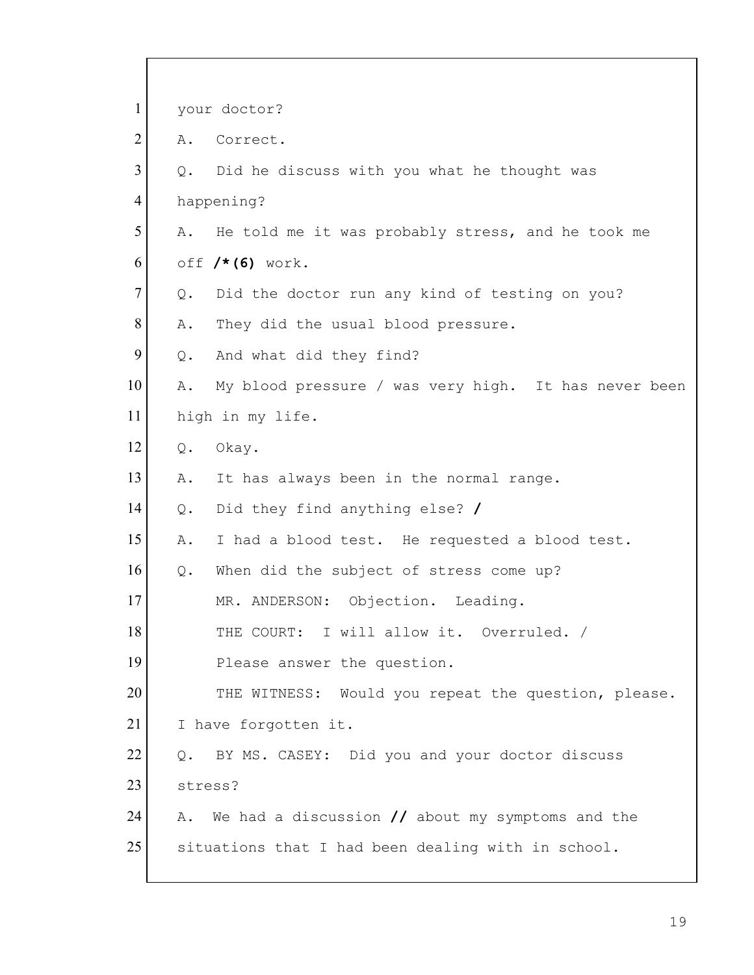| $\mathbf{1}$   | your doctor?                                                       |
|----------------|--------------------------------------------------------------------|
| $\overline{2}$ | Correct.<br>Α.                                                     |
| 3              | Did he discuss with you what he thought was<br>Q.                  |
| $\overline{4}$ | happening?                                                         |
| 5              | He told me it was probably stress, and he took me<br>Α.            |
| 6              | off $/* (6)$ work.                                                 |
| $\tau$         | Did the doctor run any kind of testing on you?<br>Q.               |
| 8              | Α.<br>They did the usual blood pressure.                           |
| 9              | And what did they find?<br>Q.                                      |
| 10             | My blood pressure / was very high. It has never been<br>Α.         |
| 11             | high in my life.                                                   |
| 12             | Okay.<br>$Q$ .                                                     |
| 13             | It has always been in the normal range.<br>Α.                      |
| 14             | Did they find anything else? /<br>$Q$ .                            |
| 15             | I had a blood test. He requested a blood test.<br>Α.               |
| 16             | When did the subject of stress come up?<br>Q.                      |
| 17             | MR. ANDERSON: Objection. Leading.                                  |
| 18             | THE COURT: I will allow it. Overruled. /                           |
| 19             | Please answer the question.                                        |
| 20             | THE WITNESS: Would you repeat the question, please.                |
| 21             | I have forgotten it.                                               |
| 22             | BY MS. CASEY: Did you and your doctor discuss<br>$Q$ .             |
| 23             | stress?                                                            |
| 24             | We had a discussion $\prime\prime$ about my symptoms and the<br>Α. |
| 25             | situations that I had been dealing with in school.                 |
|                |                                                                    |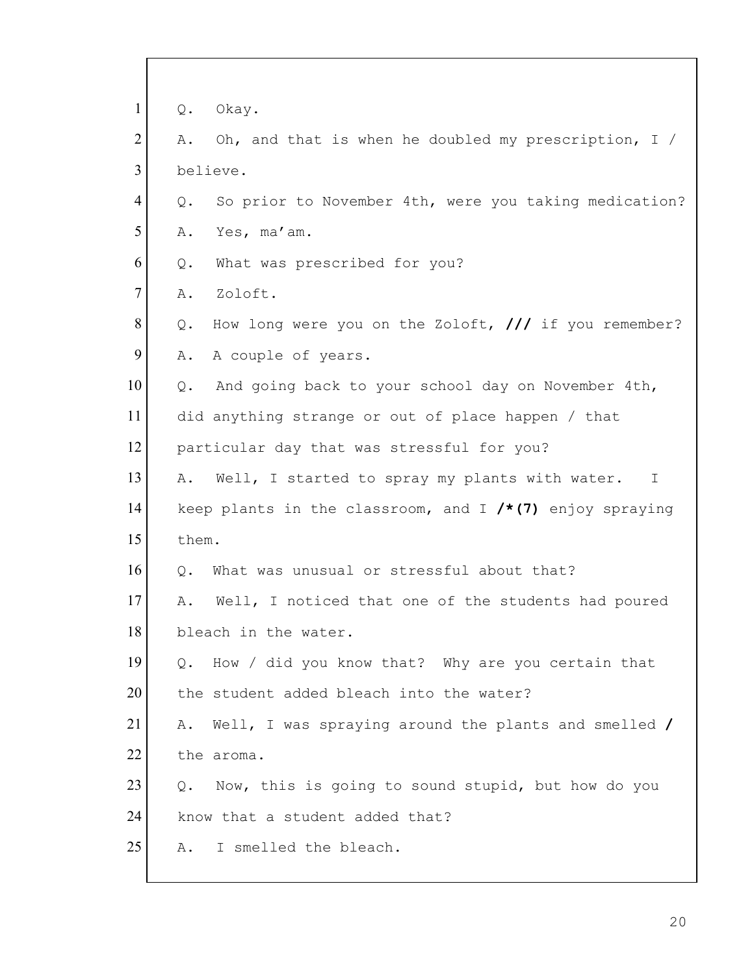| $\mathbf{1}$<br>Okay.<br>Q.                                                    |
|--------------------------------------------------------------------------------|
| $\overline{2}$<br>Oh, and that is when he doubled my prescription, $I /$<br>Α. |
| $\overline{3}$<br>believe.                                                     |
| 4<br>So prior to November 4th, were you taking medication?<br>Q.               |
| 5<br>Yes, ma'am.<br>Α.                                                         |
| 6<br>What was prescribed for you?<br>Q.                                        |
| $\tau$<br>Zoloft.<br>Α.                                                        |
| 8<br>How long were you on the Zoloft, $//$ if you remember?<br>$Q$ .           |
| 9<br>A couple of years.<br>Α.                                                  |
| 10<br>And going back to your school day on November 4th,<br>Q.                 |
| 11<br>did anything strange or out of place happen / that                       |
| 12<br>particular day that was stressful for you?                               |
| 13<br>Well, I started to spray my plants with water.<br>Α.<br>$\perp$          |
| 14<br>keep plants in the classroom, and I $/*(7)$ enjoy spraying               |
| 15<br>them.                                                                    |
| 16<br>What was unusual or stressful about that?<br>Q.                          |
| 17<br>Well, I noticed that one of the students had poured<br>Α.                |
| 18<br>bleach in the water.                                                     |
| 19<br>Q. How / did you know that? Why are you certain that                     |
| 20<br>the student added bleach into the water?                                 |
| 21<br>Well, I was spraying around the plants and smelled /<br>Α.               |
| 22<br>the aroma.                                                               |
| 23<br>Now, this is going to sound stupid, but how do you<br>0.                 |
| 24<br>know that a student added that?                                          |
| 25<br>I smelled the bleach.<br>Α.                                              |
|                                                                                |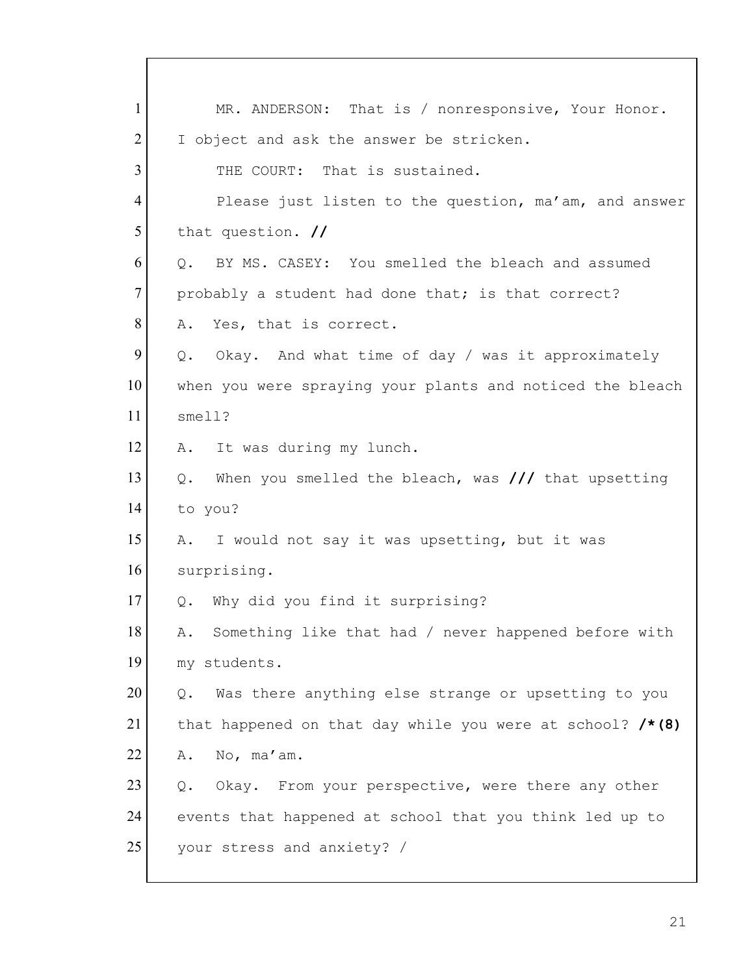1 | MR. ANDERSON: That is / nonresponsive, Your Honor. 2 I object and ask the answer be stricken. 3 THE COURT: That is sustained. 4 Please just listen to the question, ma'am, and answer 5 that question. **//** 6 O. BY MS. CASEY: You smelled the bleach and assumed 7 probably a student had done that; is that correct? 8 A. Yes, that is correct.  $9$  Q. Okay. And what time of day / was it approximately 10 when you were spraying your plants and noticed the bleach 11 smell? 12 A. It was during my lunch. 13 Q. When you smelled the bleach, was **///** that upsetting 14 to you? 15 A. I would not say it was upsetting, but it was 16 surprising. 17 Q. Why did you find it surprising? 18 A. Something like that had / never happened before with 19 my students.  $20$  Q. Was there anything else strange or upsetting to you 21 that happened on that day while you were at school? **/\*(8)**  $22$  A. No, ma'am.  $23$  Q. Okay. From your perspective, were there any other 24 events that happened at school that you think led up to 25 your stress and anxiety? /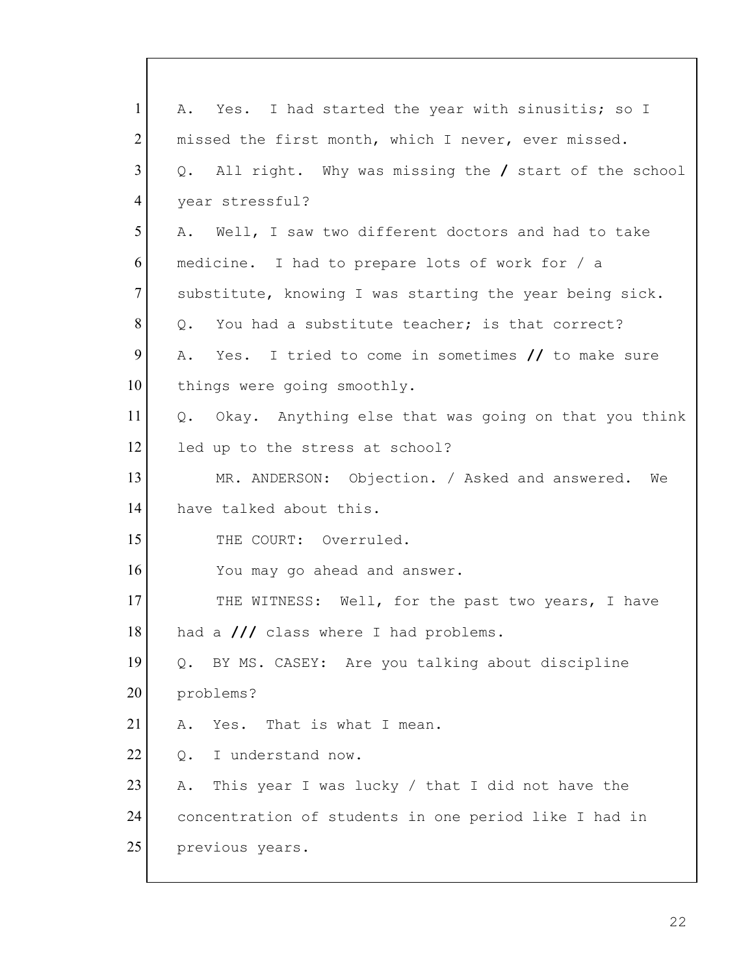| Yes. I had started the year with sinusitis; so I<br>Α.      |
|-------------------------------------------------------------|
| missed the first month, which I never, ever missed.         |
| All right. Why was missing the / start of the school<br>Q.  |
| year stressful?                                             |
| Well, I saw two different doctors and had to take<br>Α.     |
| medicine. I had to prepare lots of work for / a             |
| substitute, knowing I was starting the year being sick.     |
| You had a substitute teacher; is that correct?<br>$\circ$ . |
| Yes. I tried to come in sometimes $//$ to make sure<br>Α.   |
| things were going smoothly.                                 |
| Q. Okay. Anything else that was going on that you think     |
| led up to the stress at school?                             |
| MR. ANDERSON: Objection. / Asked and answered. We           |
| have talked about this.                                     |
| THE COURT: Overruled.                                       |
| You may go ahead and answer.                                |
| THE WITNESS: Well, for the past two years, I have           |
| 18<br>had a /// class where I had problems.                 |
| BY MS. CASEY: Are you talking about discipline<br>Q.        |
| problems?                                                   |
| Yes. That is what I mean.<br>Α.                             |
| I understand now.<br>Q.                                     |
| This year I was lucky / that I did not have the<br>Α.       |
| concentration of students in one period like I had in       |
| previous years.                                             |
|                                                             |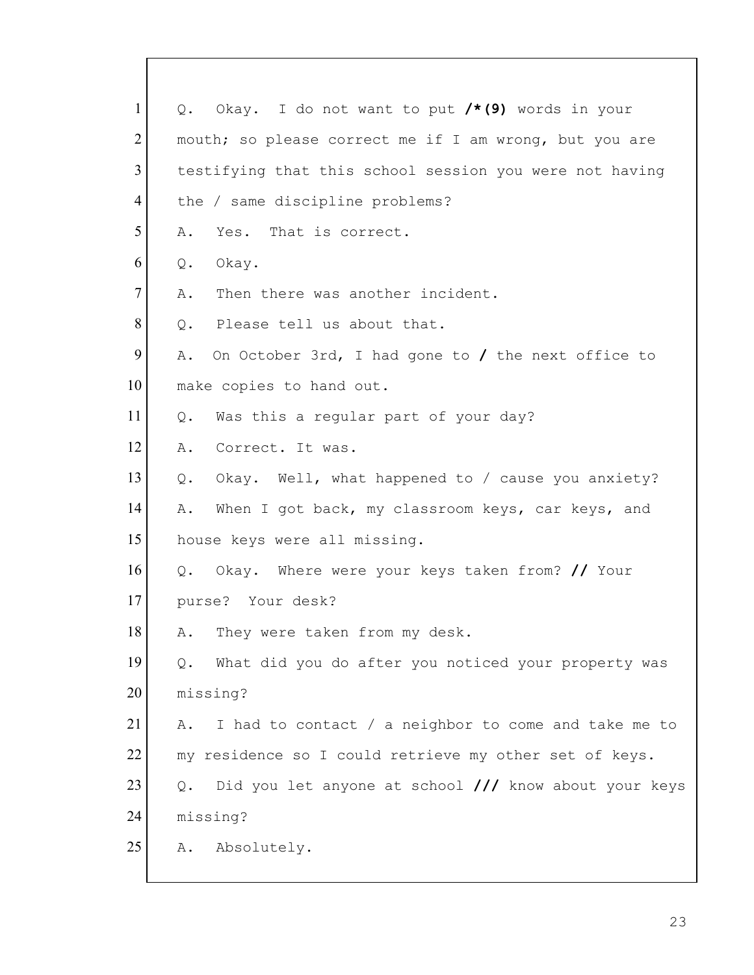| $\mathbf{1}$   | Q. Okay. I do not want to put /*(9) words in your           |
|----------------|-------------------------------------------------------------|
| $\overline{2}$ | mouth; so please correct me if I am wrong, but you are      |
| $\overline{3}$ | testifying that this school session you were not having     |
| 4              | the / same discipline problems?                             |
| 5              | Yes. That is correct.<br>Α.                                 |
| 6              | Okay.<br>$Q$ .                                              |
| $\overline{7}$ | Then there was another incident.<br>Α.                      |
| 8              | Please tell us about that.<br>Q.                            |
| 9              | On October 3rd, I had gone to / the next office to<br>Α.    |
| 10             | make copies to hand out.                                    |
| 11             | Was this a regular part of your day?<br>Q.                  |
| 12             | Α.<br>Correct. It was.                                      |
| 13             | Okay. Well, what happened to / cause you anxiety?<br>Q.     |
| 14             | When I got back, my classroom keys, car keys, and<br>Α.     |
| 15             | house keys were all missing.                                |
| 16             | Okay. Where were your keys taken from? // Your<br>Q.        |
| 17             | purse? Your desk?                                           |
| 18             | A. They were taken from my desk.                            |
| 19             | What did you do after you noticed your property was<br>Q.   |
| 20             | missing?                                                    |
| 21             | I had to contact / a neighbor to come and take me to<br>Α.  |
| 22             | my residence so I could retrieve my other set of keys.      |
| 23             | Did you let anyone at school /// know about your keys<br>Q. |
| 24             | missing?                                                    |
| 25             | Absolutely.<br>Α.                                           |
|                |                                                             |